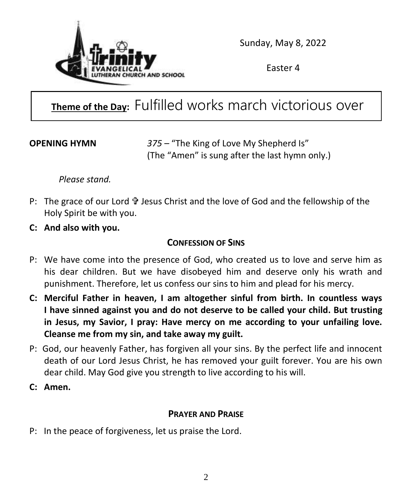

Sunday, May 8, 2022

Easter 4

## **Theme of the Day:** Fulfilled works march victorious over

empty words.

**OPENING HYMN** *375 –* "The King of Love My Shepherd Is" (The "Amen" is sung after the last hymn only.)

*Please stand.*

- P: The grace of our Lord  $\mathbf{\hat{v}}$  Jesus Christ and the love of God and the fellowship of the Holy Spirit be with you.
- **C: And also with you.**

### **CONFESSION OF SINS**

- P: We have come into the presence of God, who created us to love and serve him as his dear children. But we have disobeyed him and deserve only his wrath and punishment. Therefore, let us confess our sins to him and plead for his mercy.
- **C: Merciful Father in heaven, I am altogether sinful from birth. In countless ways I have sinned against you and do not deserve to be called your child. But trusting in Jesus, my Savior, I pray: Have mercy on me according to your unfailing love. Cleanse me from my sin, and take away my guilt.**
- P: God, our heavenly Father, has forgiven all your sins. By the perfect life and innocent death of our Lord Jesus Christ, he has removed your guilt forever. You are his own dear child. May God give you strength to live according to his will.
- **C: Amen.**

### **PRAYER AND PRAISE**

P: In the peace of forgiveness, let us praise the Lord.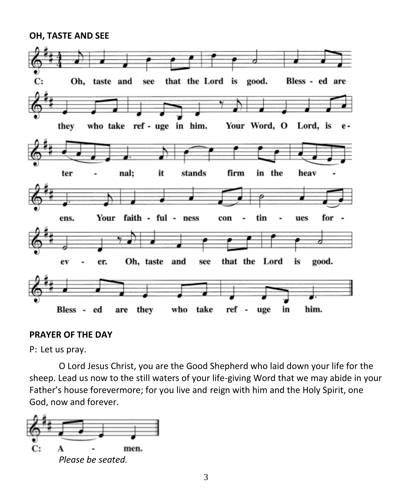#### **OH, TASTE AND SEE**



#### **PRAYER OF THE DAY**

P: Let us pray.

O Lord Jesus Christ, you are the Good Shepherd who laid down your life for the sheep. Lead us now to the still waters of your life-giving Word that we may abide in your Father's house forevermore; for you live and reign with him and the Holy Spirit, one God, now and forever.

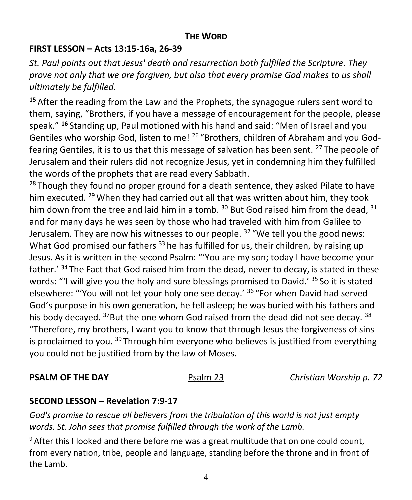### **THE WORD**

#### **FIRST LESSON – Acts 13:15-16a, 26-39**

*St. Paul points out that Jesus' death and resurrection both fulfilled the Scripture. They prove not only that we are forgiven, but also that every promise God makes to us shall ultimately be fulfilled.*

**<sup>15</sup>** After the reading from the Law and the Prophets, the synagogue rulers sent word to them, saying, "Brothers, if you have a message of encouragement for the people, please speak." **<sup>16</sup>** Standing up, Paul motioned with his hand and said: "Men of Israel and you Gentiles who worship God, listen to me! <sup>26</sup> "Brothers, children of Abraham and you Godfearing Gentiles, it is to us that this message of salvation has been sent. <sup>27</sup> The people of Jerusalem and their rulers did not recognize Jesus, yet in condemning him they fulfilled the words of the prophets that are read every Sabbath.

 $28$  Though they found no proper ground for a death sentence, they asked Pilate to have him executed. <sup>29</sup> When they had carried out all that was written about him, they took him down from the tree and laid him in a tomb.  $30$  But God raised him from the dead,  $31$ and for many days he was seen by those who had traveled with him from Galilee to Jerusalem. They are now his witnesses to our people.  $32$  "We tell you the good news: What God promised our fathers  $33$  he has fulfilled for us, their children, by raising up Jesus. As it is written in the second Psalm: "'You are my son; today I have become your father.' <sup>34</sup> The Fact that God raised him from the dead, never to decay, is stated in these words: "'I will give you the holy and sure blessings promised to David.'  $35$  So it is stated elsewhere: "'You will not let your holy one see decay.' <sup>36</sup> "For when David had served God's purpose in his own generation, he fell asleep; he was buried with his fathers and his body decayed.  $37$ But the one whom God raised from the dead did not see decay.  $38$ "Therefore, my brothers, I want you to know that through Jesus the forgiveness of sins is proclaimed to you.  $39$  Through him everyone who believes is justified from everything you could not be justified from by the law of Moses.

**PSALM OF THE DAY Psalm 23** *Christian Worship p. 72* 

#### **SECOND LESSON – Revelation 7:9-17**

*God's promise to rescue all believers from the tribulation of this world is not just empty words. St. John sees that promise fulfilled through the work of the Lamb.*

 $9$  After this I looked and there before me was a great multitude that on one could count, from every nation, tribe, people and language, standing before the throne and in front of the Lamb.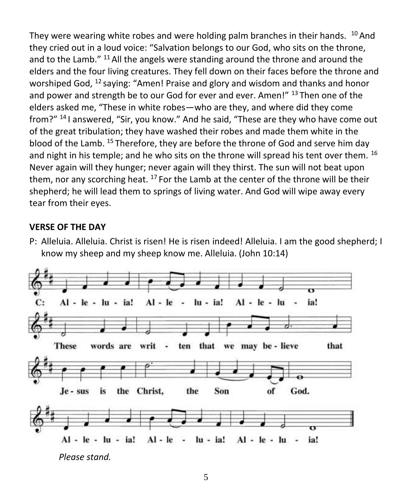They were wearing white robes and were holding palm branches in their hands.  $10$  And they cried out in a loud voice: "Salvation belongs to our God, who sits on the throne, and to the Lamb."  $^{11}$  All the angels were standing around the throne and around the elders and the four living creatures. They fell down on their faces before the throne and worshiped God,  $^{12}$  saying: "Amen! Praise and glory and wisdom and thanks and honor and power and strength be to our God for ever and ever. Amen!" 13 Then one of the elders asked me, "These in white robes—who are they, and where did they come from?" <sup>14</sup>I answered, "Sir, you know." And he said, "These are they who have come out of the great tribulation; they have washed their robes and made them white in the blood of the Lamb. <sup>15</sup> Therefore, they are before the throne of God and serve him day and night in his temple; and he who sits on the throne will spread his tent over them. <sup>16</sup> Never again will they hunger; never again will they thirst. The sun will not beat upon them, nor any scorching heat.  $17$  For the Lamb at the center of the throne will be their shepherd; he will lead them to springs of living water. And God will wipe away every tear from their eyes.

#### **VERSE OF THE DAY**

P: Alleluia. Alleluia. Christ is risen! He is risen indeed! Alleluia. I am the good shepherd; I know my sheep and my sheep know me. Alleluia. (John 10:14)

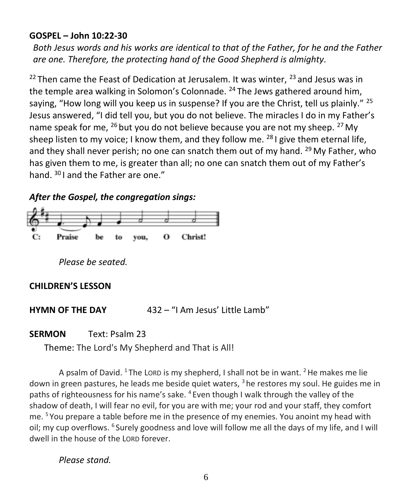#### **GOSPEL – John 10:22-30**

*Both Jesus words and his works are identical to that of the Father, for he and the Father are one. Therefore, the protecting hand of the Good Shepherd is almighty.*

 $22$  Then came the Feast of Dedication at Jerusalem. It was winter,  $23$  and Jesus was in the temple area walking in Solomon's Colonnade.  $^{24}$  The Jews gathered around him, saying, "How long will you keep us in suspense? If you are the Christ, tell us plainly." <sup>25</sup> Jesus answered, "I did tell you, but you do not believe. The miracles I do in my Father's name speak for me,  $^{26}$  but you do not believe because you are not my sheep.  $^{27}$  My sheep listen to my voice; I know them, and they follow me.  $^{28}$  I give them eternal life. and they shall never perish; no one can snatch them out of my hand.  $^{29}$  My Father, who has given them to me, is greater than all; no one can snatch them out of my Father's hand. <sup>30</sup>I and the Father are one."

#### *After the Gospel, the congregation sings:*



*Please be seated.*

#### **CHILDREN'S LESSON**

**HYMN OF THE DAY** 432 – "I Am Jesus' Little Lamb"

#### **SERMON** Text: Psalm 23

Theme: The Lord's My Shepherd and That is All!

A psalm of David. <sup>1</sup> The LORD is my shepherd, I shall not be in want. <sup>2</sup> He makes me lie down in green pastures, he leads me beside quiet waters,  $3$  he restores my soul. He guides me in paths of righteousness for his name's sake. <sup>4</sup> Even though I walk through the valley of the shadow of death, I will fear no evil, for you are with me; your rod and your staff, they comfort me. <sup>5</sup> You prepare a table before me in the presence of my enemies. You anoint my head with oil; my cup overflows. <sup>6</sup> Surely goodness and love will follow me all the days of my life, and I will dwell in the house of the LORD forever.

*Please stand.*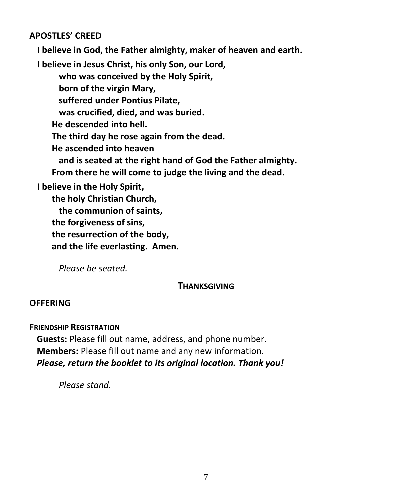#### **APOSTLES' CREED**

**I believe in God, the Father almighty, maker of heaven and earth.** 

**I believe in Jesus Christ, his only Son, our Lord,** 

**who was conceived by the Holy Spirit,** 

**born of the virgin Mary,** 

**suffered under Pontius Pilate,** 

**was crucified, died, and was buried.** 

**He descended into hell.** 

**The third day he rose again from the dead.** 

**He ascended into heaven** 

**and is seated at the right hand of God the Father almighty. From there he will come to judge the living and the dead.** 

**I believe in the Holy Spirit,** 

**the holy Christian Church, the communion of saints, the forgiveness of sins, the resurrection of the body, and the life everlasting. Amen.** 

*Please be seated.*

#### **THANKSGIVING**

#### **OFFERING**

**FRIENDSHIP REGISTRATION**

**Guests:** Please fill out name, address, and phone number. **Members:** Please fill out name and any new information. *Please, return the booklet to its original location. Thank you!*

*Please stand.*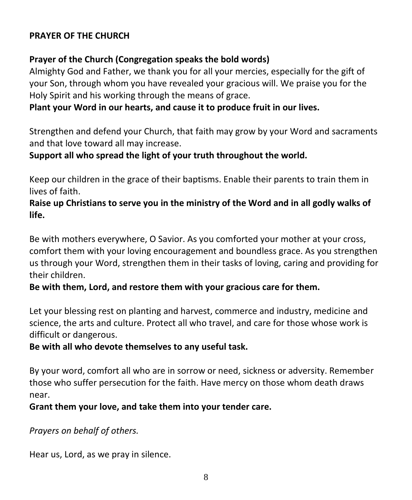#### **PRAYER OF THE CHURCH**

#### **Prayer of the Church (Congregation speaks the bold words)**

Almighty God and Father, we thank you for all your mercies, especially for the gift of your Son, through whom you have revealed your gracious will. We praise you for the Holy Spirit and his working through the means of grace.

#### **Plant your Word in our hearts, and cause it to produce fruit in our lives.**

Strengthen and defend your Church, that faith may grow by your Word and sacraments and that love toward all may increase.

#### **Support all who spread the light of your truth throughout the world.**

Keep our children in the grace of their baptisms. Enable their parents to train them in lives of faith.

#### **Raise up Christians to serve you in the ministry of the Word and in all godly walks of life.**

Be with mothers everywhere, O Savior. As you comforted your mother at your cross, comfort them with your loving encouragement and boundless grace. As you strengthen us through your Word, strengthen them in their tasks of loving, caring and providing for their children.

#### **Be with them, Lord, and restore them with your gracious care for them.**

Let your blessing rest on planting and harvest, commerce and industry, medicine and science, the arts and culture. Protect all who travel, and care for those whose work is difficult or dangerous.

#### **Be with all who devote themselves to any useful task.**

By your word, comfort all who are in sorrow or need, sickness or adversity. Remember those who suffer persecution for the faith. Have mercy on those whom death draws near.

#### **Grant them your love, and take them into your tender care.**

#### *Prayers on behalf of others.*

Hear us, Lord, as we pray in silence.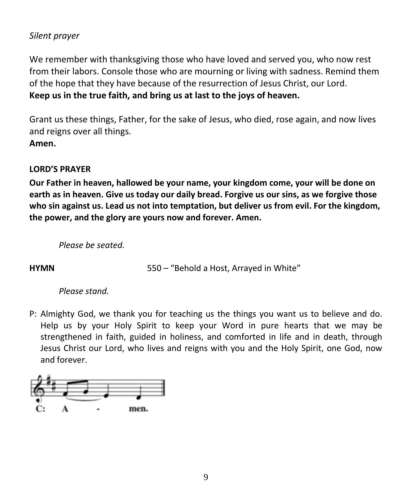#### *Silent prayer*

We remember with thanksgiving those who have loved and served you, who now rest from their labors. Console those who are mourning or living with sadness. Remind them of the hope that they have because of the resurrection of Jesus Christ, our Lord. **Keep us in the true faith, and bring us at last to the joys of heaven.** 

Grant us these things, Father, for the sake of Jesus, who died, rose again, and now lives and reigns over all things. **Amen.** 

#### **LORD'S PRAYER**

**Our Father in heaven, hallowed be your name, your kingdom come, your will be done on earth as in heaven. Give us today our daily bread. Forgive us our sins, as we forgive those who sin against us. Lead us not into temptation, but deliver us from evil. For the kingdom, the power, and the glory are yours now and forever. Amen.**

*Please be seated.*

**HYMN** 550 – "Behold a Host, Arrayed in White"

*Please stand.*

P: Almighty God, we thank you for teaching us the things you want us to believe and do. Help us by your Holy Spirit to keep your Word in pure hearts that we may be strengthened in faith, guided in holiness, and comforted in life and in death, through Jesus Christ our Lord, who lives and reigns with you and the Holy Spirit, one God, now and forever.

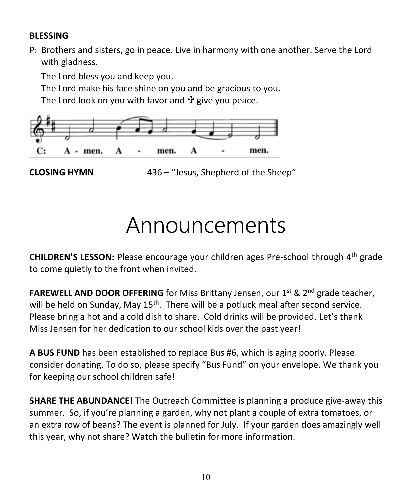#### **BLESSING**

P: Brothers and sisters, go in peace. Live in harmony with one another. Serve the Lord with gladness.

The Lord bless you and keep you.

The Lord make his face shine on you and be gracious to you.

The Lord look on you with favor and  $\hat{\mathbf{r}}$  give you peace.



**CLOSING HYMN** 436 – "Jesus, Shepherd of the Sheep"

# Announcements

**CHILDREN'S LESSON:** Please encourage your children ages Pre-school through 4th grade to come quietly to the front when invited.

**FAREWELL AND DOOR OFFERING** for Miss Brittany Jensen, our 1<sup>st</sup> & 2<sup>nd</sup> grade teacher, will be held on Sunday, May 15<sup>th</sup>. There will be a potluck meal after second service. Please bring a hot and a cold dish to share. Cold drinks will be provided. Let's thank Miss Jensen for her dedication to our school kids over the past year!

**A BUS FUND** has been established to replace Bus #6, which is aging poorly. Please consider donating. To do so, please specify "Bus Fund" on your envelope. We thank you for keeping our school children safe!

**SHARE THE ABUNDANCE!** The Outreach Committee is planning a produce give-away this summer. So, if you're planning a garden, why not plant a couple of extra tomatoes, or an extra row of beans? The event is planned for July. If your garden does amazingly well this year, why not share? Watch the bulletin for more information.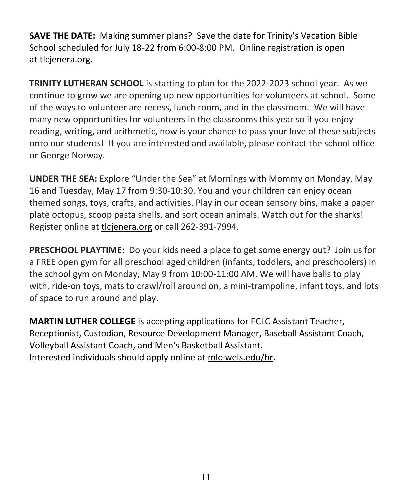**SAVE THE DATE:** Making summer plans? Save the date for Trinity's Vacation Bible School scheduled for July 18-22 from 6:00-8:00 PM. Online registration is open at [tlcjenera.org.](http://tlcjenera.org/)

**TRINITY LUTHERAN SCHOOL** is starting to plan for the 2022-2023 school year. As we continue to grow we are opening up new opportunities for volunteers at school. Some of the ways to volunteer are recess, lunch room, and in the classroom. We will have many new opportunities for volunteers in the classrooms this year so if you enjoy reading, writing, and arithmetic, now is your chance to pass your love of these subjects onto our students! If you are interested and available, please contact the school office or George Norway.

**UNDER THE SEA:** Explore "Under the Sea" at Mornings with Mommy on Monday, May 16 and Tuesday, May 17 from 9:30-10:30. You and your children can enjoy ocean themed songs, toys, crafts, and activities. Play in our ocean sensory bins, make a paper plate octopus, scoop pasta shells, and sort ocean animals. Watch out for the sharks! Register online at [tlcjenera.org](http://tlcjenera.org/) or call 262-391-7994.

**PRESCHOOL PLAYTIME:** Do your kids need a place to get some energy out? Join us for a FREE open gym for all preschool aged children (infants, toddlers, and preschoolers) in the school gym on Monday, May 9 from 10:00-11:00 AM. We will have balls to play with, ride-on toys, mats to crawl/roll around on, a mini-trampoline, infant toys, and lots of space to run around and play.

**MARTIN LUTHER COLLEGE** is accepting applications for ECLC Assistant Teacher, Receptionist, Custodian, Resource Development Manager, Baseball Assistant Coach, Volleyball Assistant Coach, and Men's Basketball Assistant. Interested individuals should apply online at [mlc-wels.edu/hr.](https://r20.rs6.net/tn.jsp?f=0010w8LUWZkV-ePXt3tomzaBEJxtRr1-UMHdW_wXx7v_2bQd1wJxrOWHBwYgcpcRzl1wWIoKOvEUyKaGmhVlwzqQ0QXEhY2tUY9JDSptaP8HUFg4F1PHSGrBYHE5n7I1G-W054WRoTVR0267J6Y-RGnwA==&c=eGYMWuFfLQo8OnnXxcA8MBX8REYZMbHfnWXQk45d6x-iV7UdzFhmSg==&ch=g38kh5q3jjo_aHqSbgEJrJdCQdIlfUuKeRuBzEXMM23Xohi3cVhtfQ==)